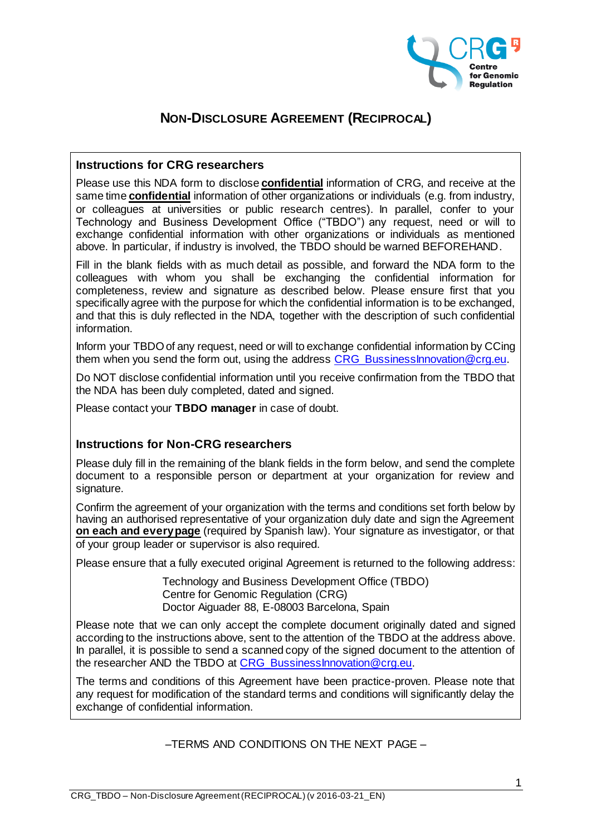

# **NON-DISCLOSURE AGREEMENT (RECIPROCAL)**

## **Instructions for CRG researchers**

Please use this NDA form to disclose **confidential** information of CRG, and receive at the same time **confidential** information of other organizations or individuals (e.g. from industry, or colleagues at universities or public research centres). In parallel, confer to your Technology and Business Development Office ("TBDO") any request, need or will to exchange confidential information with other organizations or individuals as mentioned above. In particular, if industry is involved, the TBDO should be warned BEFOREHAND.

Fill in the blank fields with as much detail as possible, and forward the NDA form to the colleagues with whom you shall be exchanging the confidential information for completeness, review and signature as described below. Please ensure first that you specifically agree with the purpose for which the confidential information is to be exchanged, and that this is duly reflected in the NDA, together with the description of such confidential information.

Inform your TBDO of any request, need or will to exchange confidential information by CCing them when you send the form out, using the address CRG BussinessInnovation@crg.eu.

Do NOT disclose confidential information until you receive confirmation from the TBDO that the NDA has been duly completed, dated and signed.

Please contact your **TBDO manager** in case of doubt.

## **Instructions for Non-CRG researchers**

Please duly fill in the remaining of the blank fields in the form below, and send the complete document to a responsible person or department at your organization for review and signature.

Confirm the agreement of your organization with the terms and conditions set forth below by having an authorised representative of your organization duly date and sign the Agreement **on each and every page** (required by Spanish law). Your signature as investigator, or that of your group leader or supervisor is also required.

Please ensure that a fully executed original Agreement is returned to the following address:

Technology and Business Development Office (TBDO) Centre for Genomic Regulation (CRG) Doctor Aiguader 88, E-08003 Barcelona, Spain

Please note that we can only accept the complete document originally dated and signed according to the instructions above, sent to the attention of the TBDO at the address above. In parallel, it is possible to send a scanned copy of the signed document to the attention of the researcher AND the TBDO at [CRG\\_BussinessInnovation@crg.eu.](mailto:CRG_BussinessInnovation@crg.eu)

The terms and conditions of this Agreement have been practice-proven. Please note that any request for modification of the standard terms and conditions will significantly delay the exchange of confidential information.

–TERMS AND CONDITIONS ON THE NEXT PAGE –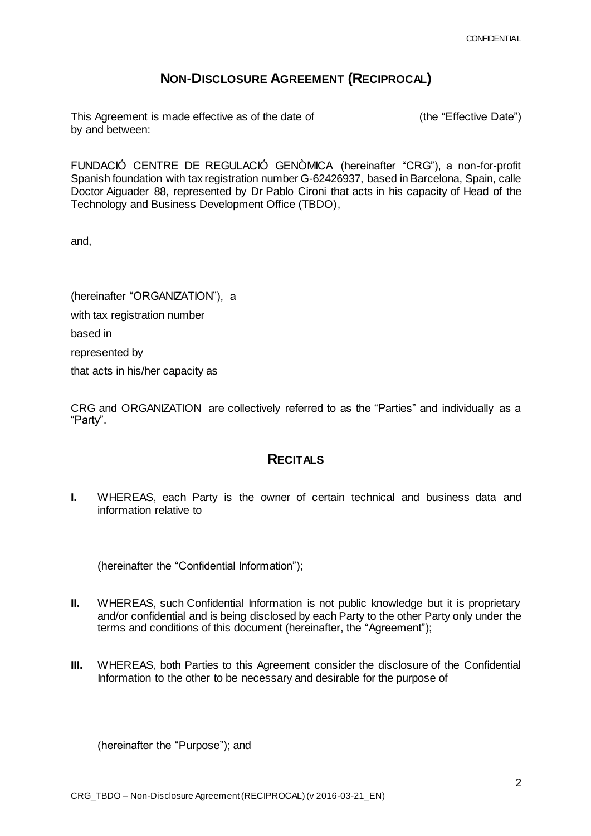## **NON-DISCLOSURE AGREEMENT (RECIPROCAL)**

This Agreement is made effective as of the date of  $(the 'Effective Date'')$ by and between:

FUNDACIÓ CENTRE DE REGULACIÓ GENÒMICA (hereinafter "CRG"), a non-for-profit Spanish foundation with tax registration number G-62426937, based in Barcelona, Spain, calle Doctor Aiguader 88, represented by Dr Pablo Cironi that acts in his capacity of Head of the Technology and Business Development Office (TBDO),

and,

(hereinafter "ORGANIZATION"), a with tax registration number based in represented by that acts in his/her capacity as

CRG and ORGANIZATION are collectively referred to as the "Parties" and individually as a "Party".

## **RECITALS**

**I.** WHEREAS, each Party is the owner of certain technical and business data and information relative to

(hereinafter the "Confidential Information");

- **II.** WHEREAS, such Confidential Information is not public knowledge but it is proprietary and/or confidential and is being disclosed by each Party to the other Party only under the terms and conditions of this document (hereinafter, the "Agreement");
- **III.** WHEREAS, both Parties to this Agreement consider the disclosure of the Confidential Information to the other to be necessary and desirable for the purpose of

(hereinafter the "Purpose"); and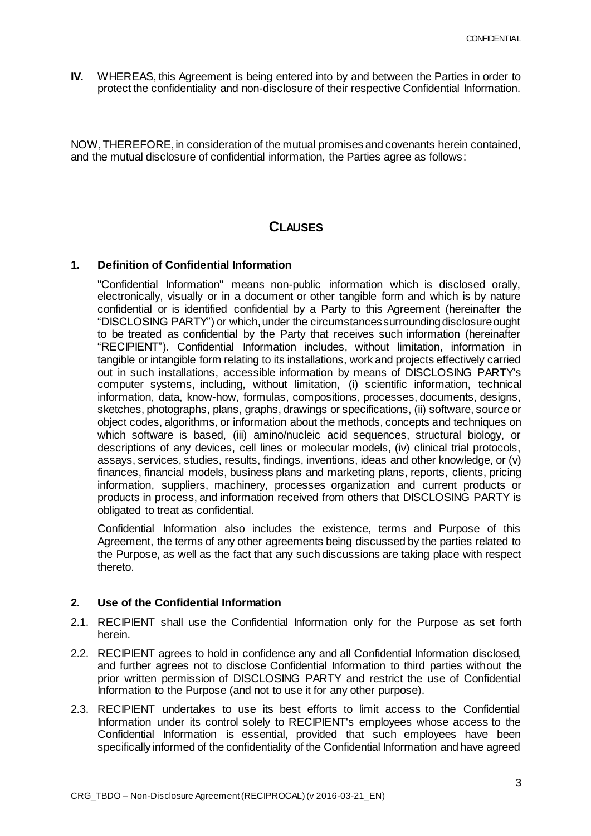**IV.** WHEREAS, this Agreement is being entered into by and between the Parties in order to protect the confidentiality and non-disclosure of their respective Confidential Information.

NOW, THEREFORE, in consideration of the mutual promises and covenants herein contained, and the mutual disclosure of confidential information, the Parties agree as follows:

## **CLAUSES**

## **1. Definition of Confidential Information**

"Confidential Information" means non-public information which is disclosed orally, electronically, visually or in a document or other tangible form and which is by nature confidential or is identified confidential by a Party to this Agreement (hereinafter the "DISCLOSING PARTY") or which, under the circumstances surrounding disclosure ought to be treated as confidential by the Party that receives such information (hereinafter "RECIPIENT"). Confidential Information includes, without limitation, information in tangible or intangible form relating to its installations, work and projects effectively carried out in such installations, accessible information by means of DISCLOSING PARTY's computer systems, including, without limitation, (i) scientific information, technical information, data, know-how, formulas, compositions, processes, documents, designs, sketches, photographs, plans, graphs, drawings or specifications, (ii) software, source or object codes, algorithms, or information about the methods, concepts and techniques on which software is based, (iii) amino/nucleic acid sequences, structural biology, or descriptions of any devices, cell lines or molecular models, (iv) clinical trial protocols, assays, services, studies, results, findings, inventions, ideas and other knowledge, or (v) finances, financial models, business plans and marketing plans, reports, clients, pricing information, suppliers, machinery, processes organization and current products or products in process, and information received from others that DISCLOSING PARTY is obligated to treat as confidential.

Confidential Information also includes the existence, terms and Purpose of this Agreement, the terms of any other agreements being discussed by the parties related to the Purpose, as well as the fact that any such discussions are taking place with respect thereto.

## **2. Use of the Confidential Information**

- 2.1. RECIPIENT shall use the Confidential Information only for the Purpose as set forth herein.
- 2.2. RECIPIENT agrees to hold in confidence any and all Confidential Information disclosed, and further agrees not to disclose Confidential Information to third parties without the prior written permission of DISCLOSING PARTY and restrict the use of Confidential Information to the Purpose (and not to use it for any other purpose).
- 2.3. RECIPIENT undertakes to use its best efforts to limit access to the Confidential Information under its control solely to RECIPIENT's employees whose access to the Confidential Information is essential, provided that such employees have been specifically informed of the confidentiality of the Confidential Information and have agreed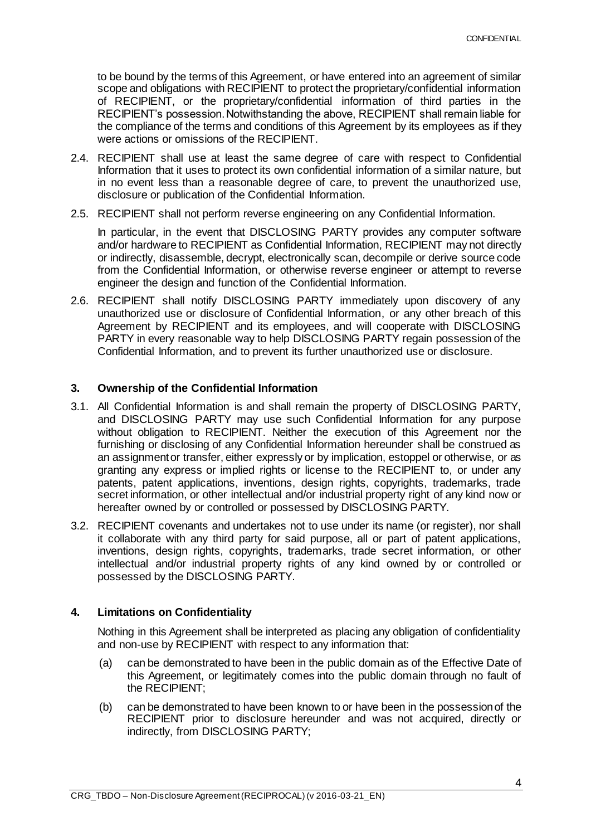to be bound by the terms of this Agreement, or have entered into an agreement of similar scope and obligations with RECIPIENT to protect the proprietary/confidential information of RECIPIENT, or the proprietary/confidential information of third parties in the RECIPIENT's possession. Notwithstanding the above, RECIPIENT shall remain liable for the compliance of the terms and conditions of this Agreement by its employees as if they were actions or omissions of the RECIPIENT.

- 2.4. RECIPIENT shall use at least the same degree of care with respect to Confidential Information that it uses to protect its own confidential information of a similar nature, but in no event less than a reasonable degree of care, to prevent the unauthorized use, disclosure or publication of the Confidential Information.
- 2.5. RECIPIENT shall not perform reverse engineering on any Confidential Information.

In particular, in the event that DISCLOSING PARTY provides any computer software and/or hardware to RECIPIENT as Confidential Information, RECIPIENT may not directly or indirectly, disassemble, decrypt, electronically scan, decompile or derive source code from the Confidential Information, or otherwise reverse engineer or attempt to reverse engineer the design and function of the Confidential Information.

2.6. RECIPIENT shall notify DISCLOSING PARTY immediately upon discovery of any unauthorized use or disclosure of Confidential Information, or any other breach of this Agreement by RECIPIENT and its employees, and will cooperate with DISCLOSING PARTY in every reasonable way to help DISCLOSING PARTY regain possession of the Confidential Information, and to prevent its further unauthorized use or disclosure.

## **3. Ownership of the Confidential Information**

- 3.1. All Confidential Information is and shall remain the property of DISCLOSING PARTY, and DISCLOSING PARTY may use such Confidential Information for any purpose without obligation to RECIPIENT. Neither the execution of this Agreement nor the furnishing or disclosing of any Confidential Information hereunder shall be construed as an assignment or transfer, either expressly or by implication, estoppel or otherwise, or as granting any express or implied rights or license to the RECIPIENT to, or under any patents, patent applications, inventions, design rights, copyrights, trademarks, trade secret information, or other intellectual and/or industrial property right of any kind now or hereafter owned by or controlled or possessed by DISCLOSING PARTY.
- 3.2. RECIPIENT covenants and undertakes not to use under its name (or register), nor shall it collaborate with any third party for said purpose, all or part of patent applications, inventions, design rights, copyrights, trademarks, trade secret information, or other intellectual and/or industrial property rights of any kind owned by or controlled or possessed by the DISCLOSING PARTY.

## **4. Limitations on Confidentiality**

Nothing in this Agreement shall be interpreted as placing any obligation of confidentiality and non-use by RECIPIENT with respect to any information that:

- (a) can be demonstrated to have been in the public domain as of the Effective Date of this Agreement, or legitimately comes into the public domain through no fault of the RECIPIENT;
- (b) can be demonstrated to have been known to or have been in the possession of the RECIPIENT prior to disclosure hereunder and was not acquired, directly or indirectly, from DISCLOSING PARTY;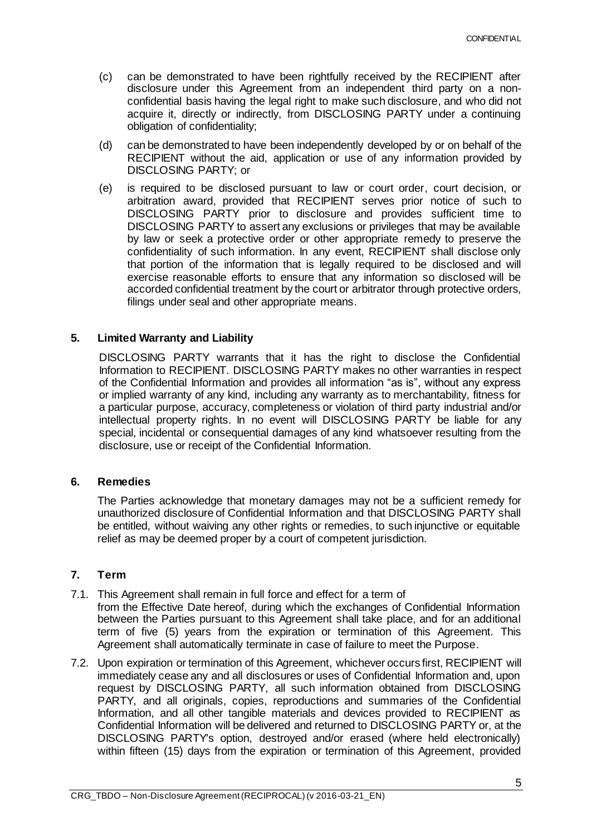- (c) can be demonstrated to have been rightfully received by the RECIPIENT after disclosure under this Agreement from an independent third party on a nonconfidential basis having the legal right to make such disclosure, and who did not acquire it, directly or indirectly, from DISCLOSING PARTY under a continuing obligation of confidentiality;
- (d) can be demonstrated to have been independently developed by or on behalf of the RECIPIENT without the aid, application or use of any information provided by DISCLOSING PARTY; or
- (e) is required to be disclosed pursuant to law or court order, court decision, or arbitration award, provided that RECIPIENT serves prior notice of such to DISCLOSING PARTY prior to disclosure and provides sufficient time to DISCLOSING PARTY to assert any exclusions or privileges that may be available by law or seek a protective order or other appropriate remedy to preserve the confidentiality of such information. In any event, RECIPIENT shall disclose only that portion of the information that is legally required to be disclosed and will exercise reasonable efforts to ensure that any information so disclosed will be accorded confidential treatment by the court or arbitrator through protective orders, filings under seal and other appropriate means.

#### **5. Limited Warranty and Liability**

DISCLOSING PARTY warrants that it has the right to disclose the Confidential Information to RECIPIENT. DISCLOSING PARTY makes no other warranties in respect of the Confidential Information and provides all information "as is", without any express or implied warranty of any kind, including any warranty as to merchantability, fitness for a particular purpose, accuracy, completeness or violation of third party industrial and/or intellectual property rights. In no event will DISCLOSING PARTY be liable for any special, incidental or consequential damages of any kind whatsoever resulting from the disclosure, use or receipt of the Confidential Information.

#### **6. Remedies**

The Parties acknowledge that monetary damages may not be a sufficient remedy for unauthorized disclosure of Confidential Information and that DISCLOSING PARTY shall be entitled, without waiving any other rights or remedies, to such injunctive or equitable relief as may be deemed proper by a court of competent jurisdiction.

## **7. Term**

- 7.1. This Agreement shall remain in full force and effect for a term of
	- from the Effective Date hereof, during which the exchanges of Confidential Information between the Parties pursuant to this Agreement shall take place, and for an additional term of five (5) years from the expiration or termination of this Agreement. This Agreement shall automatically terminate in case of failure to meet the Purpose.
- 7.2. Upon expiration or termination of this Agreement, whichever occurs first, RECIPIENT will immediately cease any and all disclosures or uses of Confidential Information and, upon request by DISCLOSING PARTY, all such information obtained from DISCLOSING PARTY, and all originals, copies, reproductions and summaries of the Confidential Information, and all other tangible materials and devices provided to RECIPIENT as Confidential Information will be delivered and returned to DISCLOSING PARTY or, at the DISCLOSING PARTY's option, destroyed and/or erased (where held electronically) within fifteen (15) days from the expiration or termination of this Agreement, provided